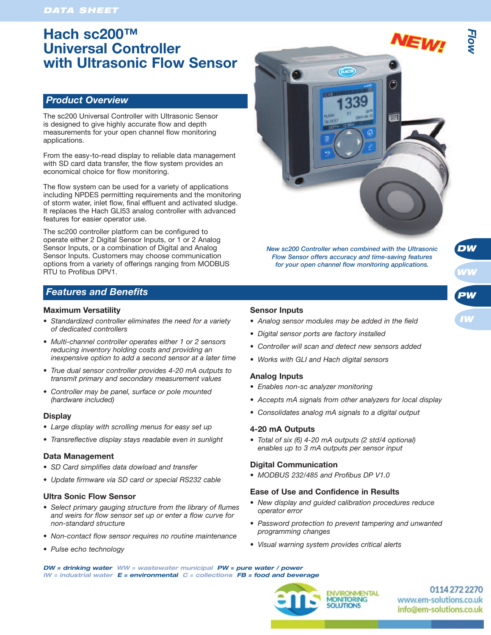# **Hach sc200™ Universal Controller with Ultrasonic Flow Sensor**

## *Product Overview*

The sc200 Universal Controller with Ultrasonic Sensor is designed to give highly accurate flow and depth measurements for your open channel flow monitoring applications.

From the easy-to-read display to reliable data management with SD card data transfer, the flow system provides an economical choice for flow monitoring.

The flow system can be used for a variety of applications including NPDES permitting requirements and the monitoring of storm water, inlet flow, final effluent and activated sludge. It replaces the Hach GLI53 analog controller with advanced features for easier operator use.

The sc200 controller platform can be configured to operate either 2 Digital Sensor Inputs, or 1 or 2 Analog Sensor Inputs, or a combination of Digital and Analog Sensor Inputs. Customers may choose communication options from a variety of offerings ranging from MODBUS RTU to Profibus DPV1.

## *Features and Benefits*

#### **Maximum Versatility**

- *Standardized controller eliminates the need for a variety of dedicated controllers*
- *Multi-channel controller operates either 1 or 2 sensors reducing inventory holding costs and providing an inexpensive option to add a second sensor at a later time*
- *True dual sensor controller provides 4-20 mA outputs to transmit primary and secondary measurement values*
- *Controller may be panel, surface or pole mounted (hardware included)*

#### **Display**

- *Large display with scrolling menus for easy set up*
- *Transreflective display stays readable even in sunlight*

### **Data Management**

- *SD Card simplifies data dowload and transfer*
- *Update firmware via SD card or special RS232 cable*

#### **Ultra Sonic Flow Sensor**

- *Select primary gauging structure from the library of flumes and weirs for flow sensor set up or enter a flow curve for non-standard structure*
- *Non-contact flow sensor requires no routine maintenance*
- *Pulse echo technology*



*Flow Sensor offers accuracy and time-saving features for your open channel flow monitoring applications.*



*DW*

#### **Sensor Inputs**

- *Analog sensor modules may be added in the field*
- *Digital sensor ports are factory installed*
- *Controller will scan and detect new sensors added*
- *Works with GLI and Hach digital sensors*

#### **Analog Inputs**

- *Enables non-sc analyzer monitoring*
- *Accepts mA signals from other analyzers for local display*
- *Consolidates analog mA signals to a digital output*

#### **4-20 mA Outputs**

*• Total of six (6) 4-20 mA outputs (2 std/4 optional) enables up to 3 mA outputs per sensor input*

#### **Digital Communication**

*• MODBUS 232/485 and Profibus DP V1.0*

#### **Ease of Use and Confidence in Results**

- *New display and guided calibration procedures reduce operator error*
- *Password protection to prevent tampering and unwanted programming changes*
- *Visual warning system provides critical alerts*

*DW = drinking water WW = wastewater municipal PW = pure water / power IW = industrial water E = environmental C = collections FB = food and beverage*



0114 272 2270 www.em-solutions.co.uk info@em-solutions.co.uk

EWI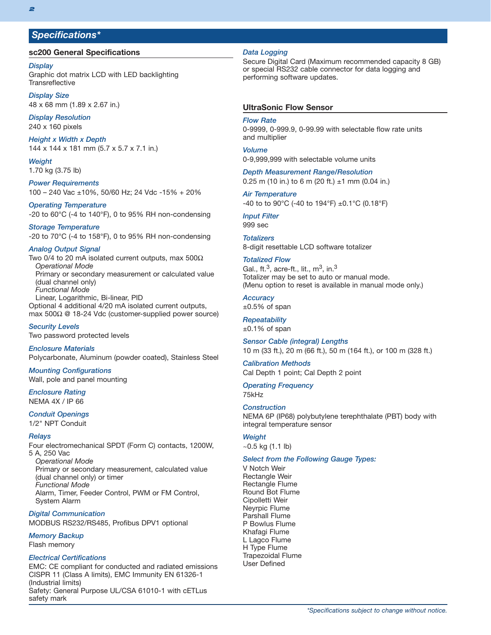## *Specifications\**

#### **sc200 General Specifications**

#### *Display*

Graphic dot matrix LCD with LED backlighting **Transreflective** 

*Display Size* 48 x 68 mm (1.89 x 2.67 in.)

*Display Resolution* 240 x 160 pixels

*Height x Width x Depth* 144 x 144 x 181 mm (5.7 x 5.7 x 7.1 in.)

*Weight* 1.70 kg (3.75 lb)

*Power Requirements* 100 – 240 Vac ±10%, 50/60 Hz; 24 Vdc -15% + 20%

*Operating Temperature* -20 to 60°C (-4 to 140°F), 0 to 95% RH non-condensing

*Storage Temperature* -20 to 70°C (-4 to 158°F), 0 to 95% RH non-condensing

#### *Analog Output Signal*

Two 0/4 to 20 mA isolated current outputs, max 500 $\Omega$ *Operational Mode* Primary or secondary measurement or calculated value (dual channel only) *Functional Mode* Linear, Logarithmic, Bi-linear, PID Optional 4 additional 4/20 mA isolated current outputs, max 500Ω @ 18-24 Vdc (customer-supplied power source)

*Security Levels* Two password protected levels

*Enclosure Materials* Polycarbonate, Aluminum (powder coated), Stainless Steel

*Mounting Configurations* Wall, pole and panel mounting

# *Enclosure Rating*

NEMA 4X / IP 66

## *Conduit Openings*

1/2" NPT Conduit

#### *Relays*

Four electromechanical SPDT (Form C) contacts, 1200W, 5 A, 250 Vac

*Operational Mode* Primary or secondary measurement, calculated value (dual channel only) or timer *Functional Mode* Alarm, Timer, Feeder Control, PWM or FM Control, System Alarm

*Digital Communication* MODBUS RS232/RS485, Profibus DPV1 optional

#### *Memory Backup*

Flash memory

#### *Electrical Certifications*

EMC: CE compliant for conducted and radiated emissions CISPR 11 (Class A limits), EMC Immunity EN 61326-1 (Industrial limits) Safety: General Purpose UL/CSA 61010-1 with cETLus safety mark

#### *Data Logging*

Secure Digital Card (Maximum recommended capacity 8 GB) or special RS232 cable connector for data logging and performing software updates.

### **UltraSonic Flow Sensor**

#### *Flow Rate*

0-9999, 0-999.9, 0-99.99 with selectable flow rate units and multiplier

#### *Volume*

0-9,999,999 with selectable volume units

#### *Depth Measurement Range/Resolution*

0.25 m (10 in.) to 6 m (20 ft.)  $\pm$ 1 mm (0.04 in.)

#### *Air Temperature*

-40 to to 90°C (-40 to 194°F) ±0.1°C (0.18°F)

## *Input Filter*

999 sec

*Totalizers* 8-digit resettable LCD software totalizer

#### *Totalized Flow*

Gal., ft.<sup>3</sup>, acre-ft., lit.,  $m^3$ , in.<sup>3</sup> Totalizer may be set to auto or manual mode. (Menu option to reset is available in manual mode only.)

#### *Accuracy*

 $±0.5%$  of span

#### *Repeatability*  $±0.1\%$  of span

*Sensor Cable (integral) Lengths* 10 m (33 ft.), 20 m (66 ft.), 50 m (164 ft.), or 100 m (328 ft.)

#### *Calibration Methods* Cal Depth 1 point; Cal Depth 2 point

*Operating Frequency* 75kHz

#### *Construction*

NEMA 6P (IP68) polybutylene terephthalate (PBT) body with integral temperature sensor

### *Weight*

 $\sim$ 0.5 kg (1.1 lb)

#### *Select from the Following Gauge Types:*

V Notch Weir Rectangle Weir Rectangle Flume Round Bot Flume Cipolletti Weir Neyrpic Flume Parshall Flume P Bowlus Flume Khafagi Flume L Lagco Flume H Type Flume Trapezoidal Flume User Defined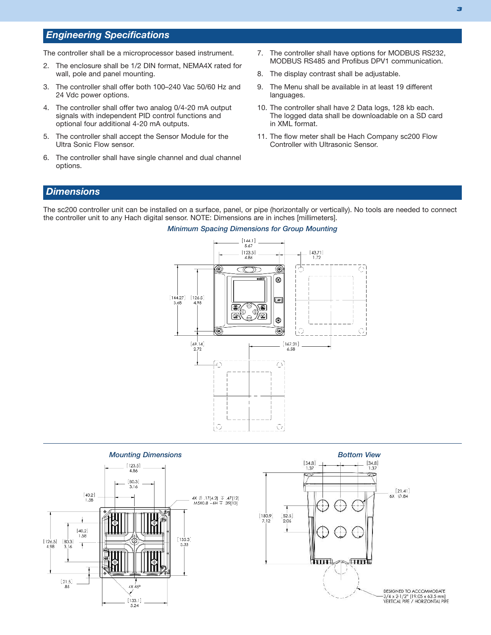## *Engineering Specifications*

The controller shall be a microprocessor based instrument.

- 2. The enclosure shall be 1/2 DIN format, NEMA4X rated for wall, pole and panel mounting.
- 3. The controller shall offer both 100–240 Vac 50/60 Hz and 24 Vdc power options.
- 4. The controller shall offer two analog 0/4-20 mA output signals with independent PID control functions and optional four additional 4-20 mA outputs.
- 5. The controller shall accept the Sensor Module for the Ultra Sonic Flow sensor.
- 6. The controller shall have single channel and dual channel options.
- 7. The controller shall have options for MODBUS RS232, MODBUS RS485 and Profibus DPV1 communication.
- 8. The display contrast shall be adjustable.
- 9. The Menu shall be available in at least 19 different languages.
- 10. The controller shall have 2 Data logs, 128 kb each. The logged data shall be downloadable on a SD card in XML format.
- 11. The flow meter shall be Hach Company sc200 Flow Controller with Ultrasonic Sensor.

## *Dimensions*

The sc200 controller unit can be installed on a surface, panel, or pipe (horizontally or vertically). No tools are needed to connect the controller unit to any Hach digital sensor. NOTE: Dimensions are in inches [millimeters].



#### *Mounting Dimensions Bottom View*<br>  $\begin{array}{ccc}\n & & & \\
\hline\n & & & \\
 & & & \\
 & & & \\
 & & & & \\
\hline\n & 1.37 & + - + - - 4 \\
 & & & & \\
 & & & & \\
\end{array}$  $\begin{array}{c} \left[123.5\right] \\ 4.86 \end{array}$  $[80.3]$ 3.16  $[21.41]$ <br>6X  $\oslash$  .84  $\begin{bmatrix} 40.2 \\ 1.58 \end{bmatrix}$ [12] 4X ۞ [17[4.2] ↓ 47[12]<br>|10] 39. ۞ 6H ÷ 6.0X0M  $[180.9]$ <br>7.12 52.5  $140.2$ Ţ  $1.58$ [135.3]<br>5.33  $[126.5]$ <br>4.98  $\frac{[80.3]}{3.16}$  $\overline{\mathbf{m}}$  and  $\overline{\mathbf{m}}$  $\begin{array}{c} \left[ \begin{smallmatrix} 21.5 \\ -85 \end{smallmatrix} \right] \end{array}$ 4X 45° DESIGNED TO ACCOMMODATE 3/4 x 2-1/2" [19.05 x 63.5 mm]<br>VERTICAL PIPE / HORIZONTAL PIPE  $[133.1]$  $5.24$